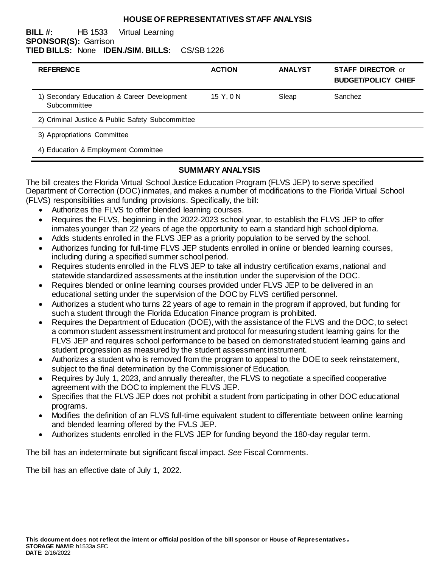#### **HOUSE OF REPRESENTATIVES STAFF ANALYSIS**

#### **BILL #:** HB 1533 Virtual Learning **SPONSOR(S):** Garrison **TIED BILLS:** None **IDEN./SIM. BILLS:** CS/SB 1226

| <b>REFERENCE</b>                                            | <b>ACTION</b> | <b>ANALYST</b> | <b>STAFF DIRECTOR or</b><br><b>BUDGET/POLICY CHIEF</b> |
|-------------------------------------------------------------|---------------|----------------|--------------------------------------------------------|
| 1) Secondary Education & Career Development<br>Subcommittee | 15 Y, 0 N     | Sleap          | Sanchez                                                |
| 2) Criminal Justice & Public Safety Subcommittee            |               |                |                                                        |
| 3) Appropriations Committee                                 |               |                |                                                        |
| 4) Education & Employment Committee                         |               |                |                                                        |

# **SUMMARY ANALYSIS**

The bill creates the Florida Virtual School Justice Education Program (FLVS JEP) to serve specified Department of Correction (DOC) inmates, and makes a number of modifications to the Florida Virtual School (FLVS) responsibilities and funding provisions. Specifically, the bill:

- Authorizes the FLVS to offer blended learning courses.
- Requires the FLVS, beginning in the 2022-2023 school year, to establish the FLVS JEP to offer inmates younger than 22 years of age the opportunity to earn a standard high school diploma.
- Adds students enrolled in the FLVS JEP as a priority population to be served by the school.
- Authorizes funding for full-time FLVS JEP students enrolled in online or blended learning courses, including during a specified summer school period.
- Requires students enrolled in the FLVS JEP to take all industry certification exams, national and statewide standardized assessments at the institution under the supervision of the DOC.
- Requires blended or online learning courses provided under FLVS JEP to be delivered in an educational setting under the supervision of the DOC by FLVS certified personnel.
- Authorizes a student who turns 22 years of age to remain in the program if approved, but funding for such a student through the Florida Education Finance program is prohibited.
- Requires the Department of Education (DOE), with the assistance of the FLVS and the DOC, to select a common student assessment instrument and protocol for measuring student learning gains for the FLVS JEP and requires school performance to be based on demonstrated student learning gains and student progression as measured by the student assessment instrument.
- Authorizes a student who is removed from the program to appeal to the DOE to seek reinstatement, subject to the final determination by the Commissioner of Education.
- Requires by July 1, 2023, and annually thereafter, the FLVS to negotiate a specified cooperative agreement with the DOC to implement the FLVS JEP.
- Specifies that the FLVS JEP does not prohibit a student from participating in other DOC educational programs.
- Modifies the definition of an FLVS full-time equivalent student to differentiate between online learning and blended learning offered by the FVLS JEP.
- Authorizes students enrolled in the FLVS JEP for funding beyond the 180-day regular term.

The bill has an indeterminate but significant fiscal impact. *See* Fiscal Comments.

The bill has an effective date of July 1, 2022.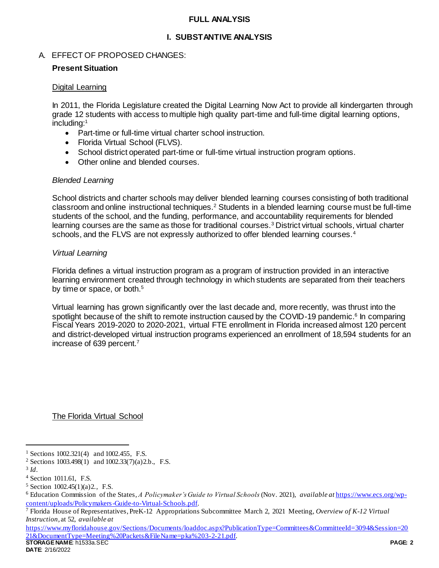### **FULL ANALYSIS**

## **I. SUBSTANTIVE ANALYSIS**

### A. EFFECT OF PROPOSED CHANGES:

### **Present Situation**

#### Digital Learning

In 2011, the Florida Legislature created the Digital Learning Now Act to provide all kindergarten through grade 12 students with access to multiple high quality part-time and full-time digital learning options, including:<sup>1</sup>

- Part-time or full-time virtual charter school instruction.
- Florida Virtual School (FLVS).
- School district operated part-time or full-time virtual instruction program options.
- Other online and blended courses.

### *Blended Learning*

School districts and charter schools may deliver blended learning courses consisting of both traditional classroom and online instructional techniques.<sup>2</sup> Students in a blended learning course must be full-time students of the school, and the funding, performance, and accountability requirements for blended learning courses are the same as those for traditional courses.<sup>3</sup> District virtual schools, virtual charter schools, and the FLVS are not expressly authorized to offer blended learning courses.<sup>4</sup>

#### *Virtual Learning*

Florida defines a virtual instruction program as a program of instruction provided in an interactive learning environment created through technology in which students are separated from their teachers by time or space, or both.<sup>5</sup>

Virtual learning has grown significantly over the last decade and, more recently, was thrust into the spotlight because of the shift to remote instruction caused by the COVID-19 pandemic.<sup>6</sup> In comparing Fiscal Years 2019-2020 to 2020-2021, virtual FTE enrollment in Florida increased almost 120 percent and district-developed virtual instruction programs experienced an enrollment of 18,594 students for an increase of 639 percent.<sup>7</sup>

The Florida Virtual School

3 *Id*.

l

**STORAGE NAME**: h1533a.SEC **PAGE: 2** [https://www.myfloridahouse.gov/Sections/Documents/loaddoc.aspx?PublicationType=Committees&CommitteeId=3094&Session=20](https://www.myfloridahouse.gov/Sections/Documents/loaddoc.aspx?PublicationType=Committees&CommitteeId=3094&Session=2021&DocumentType=Meeting%20Packets&FileName=pka%203-2-21.pdf) [21&DocumentType=Meeting%20Packets&FileName=pka%203-2-21.pdf.](https://www.myfloridahouse.gov/Sections/Documents/loaddoc.aspx?PublicationType=Committees&CommitteeId=3094&Session=2021&DocumentType=Meeting%20Packets&FileName=pka%203-2-21.pdf) 

<sup>&</sup>lt;sup>1</sup> Sections 1002.321(4) and 1002.455, F.S.

<sup>2</sup> Sections 1003.498(1) and 1002.33(7)(a)2.b., F.S.

<sup>4</sup> Section 1011.61, F.S.

<sup>5</sup> Section 1002.45(1)(a)2., F.S.

<sup>6</sup> Education Commission of the States, *A Policymaker's Guide to Virtual Schools* (Nov. 2021), *available at* [https://www.ecs.org/wp](https://www.ecs.org/wp-content/uploads/Policymakers-Guide-to-Virtual-Schools.pdf)[content/uploads/Policymakers-Guide-to-Virtual-Schools.pdf.](https://www.ecs.org/wp-content/uploads/Policymakers-Guide-to-Virtual-Schools.pdf) 

<sup>7</sup> Florida House of Representatives, PreK-12 Appropriations Subcommittee March 2, 2021 Meeting, *Overview of K-12 Virtual Instruction*, at 52, *available at*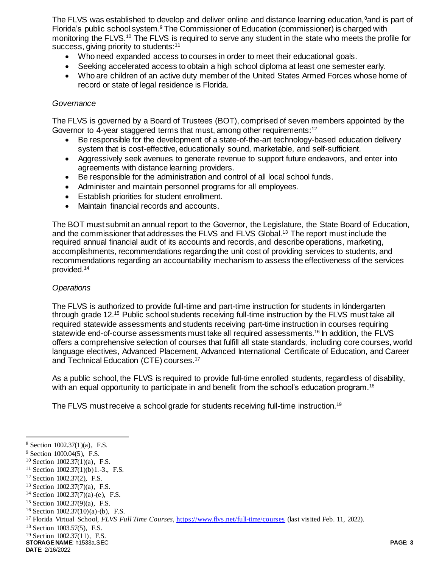The FLVS was established to develop and deliver online and distance learning education,<sup>8</sup>and is part of Florida's public school system.<sup>9</sup> The Commissioner of Education (commissioner) is charged with monitoring the FLVS.<sup>10</sup> The FLVS is required to serve any student in the state who meets the profile for success, giving priority to students:<sup>11</sup>

- Who need expanded access to courses in order to meet their educational goals.
- Seeking accelerated access to obtain a high school diploma at least one semester early.
- Who are children of an active duty member of the United States Armed Forces whose home of record or state of legal residence is Florida.

#### *Governance*

The FLVS is governed by a Board of Trustees (BOT), comprised of seven members appointed by the Governor to 4-year staggered terms that must, among other requirements:<sup>12</sup>

- Be responsible for the development of a state-of-the-art technology-based education delivery system that is cost-effective, educationally sound, marketable, and self-sufficient.
- Aggressively seek avenues to generate revenue to support future endeavors, and enter into agreements with distance learning providers.
- Be responsible for the administration and control of all local school funds.
- Administer and maintain personnel programs for all employees.
- Establish priorities for student enrollment.
- Maintain financial records and accounts.

The BOT must submit an annual report to the Governor, the Legislature, the State Board of Education, and the commissioner that addresses the FLVS and FLVS Global.<sup>13</sup> The report must include the required annual financial audit of its accounts and records, and describe operations, marketing, accomplishments, recommendations regarding the unit cost of providing services to students, and recommendations regarding an accountability mechanism to assess the effectiveness of the services provided.<sup>14</sup>

### *Operations*

The FLVS is authorized to provide full-time and part-time instruction for students in kindergarten through grade 12.<sup>15</sup> Public school students receiving full-time instruction by the FLVS must take all required statewide assessments and students receiving part-time instruction in courses requiring statewide end-of-course assessments must take all required assessments. <sup>16</sup> In addition, the FLVS offers a comprehensive selection of courses that fulfill all state standards, including core courses, world language electives, Advanced Placement, Advanced International Certificate of Education, and Career and Technical Education (CTE) courses.<sup>17</sup>

As a public school, the FLVS is required to provide full-time enrolled students, regardless of disability, with an equal opportunity to participate in and benefit from the school's education program.<sup>18</sup>

The FLVS must receive a school grade for students receiving full-time instruction.<sup>19</sup>

l

<sup>8</sup> Section 1002.37(1)(a), F.S.

<sup>9</sup> Section 1000.04(5), F.S.

<sup>10</sup> Section 1002.37(1)(a), F.S.

<sup>&</sup>lt;sup>11</sup> Section 1002.37(1)(b)1.-3., F.S.

<sup>12</sup> Section 1002.37(2), F.S.

<sup>13</sup> Section 1002.37(7)(a), F.S.

<sup>&</sup>lt;sup>14</sup> Section 1002.37(7)(a)-(e), F.S.

<sup>15</sup> Section 1002.37(9)(a), F.S.

 $16$  Section 1002.37(10)(a)-(b), F.S.

<sup>17</sup> Florida Virtual School, *FLVS Full Time Courses*[, https://www.flvs.net/full-time/courses](https://www.flvs.net/full-time/courses) (last visited Feb. 11, 2022).

<sup>18</sup> Section 1003.57(5), F.S.

<sup>19</sup> Section 1002.37(11), F.S.

**STORAGE NAME**: h1533a.SEC **PAGE: 3**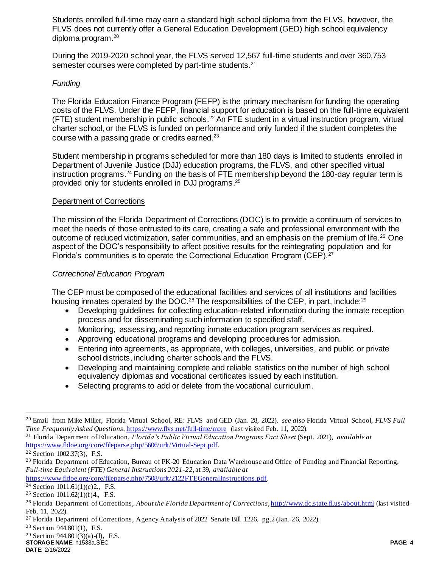Students enrolled full-time may earn a standard high school diploma from the FLVS, however, the FLVS does not currently offer a General Education Development (GED) high school equivalency diploma program.<sup>20</sup>

During the 2019-2020 school year, the FLVS served 12,567 full-time students and over 360,753 semester courses were completed by part-time students.<sup>21</sup>

# *Funding*

The Florida Education Finance Program (FEFP) is the primary mechanism for funding the operating costs of the FLVS. Under the FEFP, financial support for education is based on the full-time equivalent (FTE) student membership in public schools.<sup>22</sup> An FTE student in a virtual instruction program, virtual charter school, or the FLVS is funded on performance and only funded if the student completes the course with a passing grade or credits earned.<sup>23</sup>

Student membership in programs scheduled for more than 180 days is limited to students enrolled in Department of Juvenile Justice (DJJ) education programs, the FLVS, and other specified virtual instruction programs.<sup>24</sup> Funding on the basis of FTE membership beyond the 180-day regular term is provided only for students enrolled in DJJ programs. 25

# Department of Corrections

The mission of the Florida Department of Corrections (DOC) is to provide a continuum of services to meet the needs of those entrusted to its care, creating a safe and professional environment with the outcome of reduced victimization, safer communities, and an emphasis on the premium of life.<sup>26</sup> One aspect of the DOC's responsibility to affect positive results for the reintegrating population and for Florida's communities is to operate the Correctional Education Program (CEP).<sup>27</sup>

# *Correctional Education Program*

The CEP must be composed of the educational facilities and services of all institutions and facilities housing inmates operated by the DOC.<sup>28</sup> The responsibilities of the CEP, in part, include:<sup>29</sup>

- Developing guidelines for collecting education-related information during the inmate reception process and for disseminating such information to specified staff.
- Monitoring, assessing, and reporting inmate education program services as required.
- Approving educational programs and developing procedures for admission.
- Entering into agreements, as appropriate, with colleges, universities, and public or private school districts, including charter schools and the FLVS.
- Developing and maintaining complete and reliable statistics on the number of high school equivalency diplomas and vocational certificates issued by each institution.
- Selecting programs to add or delete from the vocational curriculum.

 $\overline{a}$ 

[https://www.fldoe.org/core/fileparse.php/7508/urlt/2122FTEGeneralInstructions.pdf.](https://www.fldoe.org/core/fileparse.php/7508/urlt/2122FTEGeneralInstructions.pdf) 

**STORAGE NAME**: h1533a.SEC **PAGE: 4 DATE**: 2/16/2022

<sup>20</sup> Email from Mike Miller, Florida Virtual School, RE: FLVS and GED (Jan. 28, 2022). *see also* Florida Virtual School, *FLVS Full Time Frequently Asked Questions*[, https://www.flvs.net/full-time/more](https://www.flvs.net/full-time/more) (last visited Feb. 11, 2022).

<sup>21</sup> Florida Department of Education, *Florida's Public Virtual Education Programs Fact Sheet* (Sept. 2021), *available at* [https://www.fldoe.org/core/fileparse.php/5606/urlt/Virtual-Sept.pdf.](https://www.fldoe.org/core/fileparse.php/5606/urlt/Virtual-Sept.pdf)

<sup>22</sup> Section 1002.37(3), F.S.

<sup>&</sup>lt;sup>23</sup> Florida Department of Education, Bureau of PK-20 Education Data Warehouse and Office of Funding and Financial Reporting, *Full-time Equivalent (FTE) General Instructions 2021-22*, at 39, *available at* 

<sup>&</sup>lt;sup>24</sup> Section 1011.61(1)(c)2., F.S.

<sup>25</sup> Section 1011.62(1)(f)4., F.S.

<sup>26</sup> Florida Department of Corrections, *About the Florida Department of Corrections*[, http://www.dc.state.fl.us/about.html](http://www.dc.state.fl.us/about.html) (last visited Feb. 11, 2022).

<sup>27</sup> Florida Department of Corrections, Agency Analysis of 2022 Senate Bill 1226, pg.2 (Jan. 26, 2022).

<sup>28</sup> Section 944.801(1), F.S.

<sup>29</sup> Section 944.801(3)(a)-(l), F.S.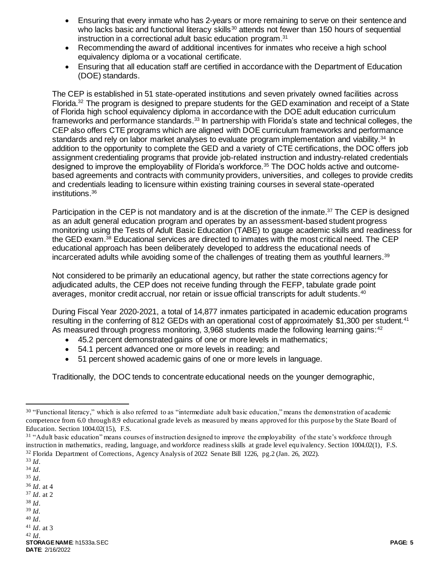- Ensuring that every inmate who has 2-years or more remaining to serve on their sentence and who lacks basic and functional literacy skills<sup>30</sup> attends not fewer than 150 hours of sequential instruction in a correctional adult basic education program.<sup>31</sup>
- Recommending the award of additional incentives for inmates who receive a high school equivalency diploma or a vocational certificate.
- Ensuring that all education staff are certified in accordance with the Department of Education (DOE) standards.

The CEP is established in 51 state-operated institutions and seven privately owned facilities across Florida.<sup>32</sup> The program is designed to prepare students for the GED examination and receipt of a State of Florida high school equivalency diploma in accordance with the DOE adult education curriculum frameworks and performance standards.<sup>33</sup> In partnership with Florida's state and technical colleges, the CEP also offers CTE programs which are aligned with DOE curriculum frameworks and performance standards and rely on labor market analyses to evaluate program implementation and viability.<sup>34</sup> In addition to the opportunity to complete the GED and a variety of CTE certifications, the DOC offers job assignment credentialing programs that provide job-related instruction and industry-related credentials designed to improve the employability of Florida's workforce.<sup>35</sup> The DOC holds active and outcomebased agreements and contracts with community providers, universities, and colleges to provide credits and credentials leading to licensure within existing training courses in several state-operated institutions.<sup>36</sup>

Participation in the CEP is not mandatory and is at the discretion of the inmate.<sup>37</sup> The CEP is designed as an adult general education program and operates by an assessment-based student progress monitoring using the Tests of Adult Basic Education (TABE) to gauge academic skills and readiness for the GED exam. <sup>38</sup> Educational services are directed to inmates with the most critical need. The CEP educational approach has been deliberately developed to address the educational needs of incarcerated adults while avoiding some of the challenges of treating them as youthful learners.<sup>39</sup>

Not considered to be primarily an educational agency, but rather the state corrections agency for adjudicated adults, the CEP does not receive funding through the FEFP, tabulate grade point averages, monitor credit accrual, nor retain or issue official transcripts for adult students.<sup>40</sup>

During Fiscal Year 2020-2021, a total of 14,877 inmates participated in academic education programs resulting in the conferring of 812 GEDs with an operational cost of approximately \$1,300 per student.<sup>41</sup> As measured through progress monitoring, 3,968 students made the following learning gains:<sup>42</sup>

- 45.2 percent demonstrated gains of one or more levels in mathematics;
- 54.1 percent advanced one or more levels in reading; and
- 51 percent showed academic gains of one or more levels in language.

Traditionally, the DOC tends to concentrate educational needs on the younger demographic,

 $\overline{a}$ 

- <sup>36</sup> *Id*. at 4 <sup>37</sup> *Id*. at 2
- <sup>38</sup> *Id*.
- <sup>39</sup> *Id.*
- <sup>40</sup> *Id*.
- <sup>41</sup> *Id*. at 3

<sup>&</sup>lt;sup>30</sup> "Functional literacy," which is also referred to as "intermediate adult basic education," means the demonstration of academic competence from 6.0 through 8.9 educational grade levels as measured by means approved for this purpose by the State Board of Education. Section 1004.02(15), F.S.

<sup>&</sup>lt;sup>31</sup> "Adult basic education" means courses of instruction designed to improve the employability of the state's workforce through instruction in mathematics, reading, language, and workforce readiness skills at grade level equ ivalency. Section 1004.02(1), F.S. <sup>32</sup> Florida Department of Corrections, Agency Analysis of 2022 Senate Bill 1226, pg.2 (Jan. 26, 2022).

<sup>33</sup> *Id*.

<sup>34</sup> *Id.*

<sup>35</sup> *Id*.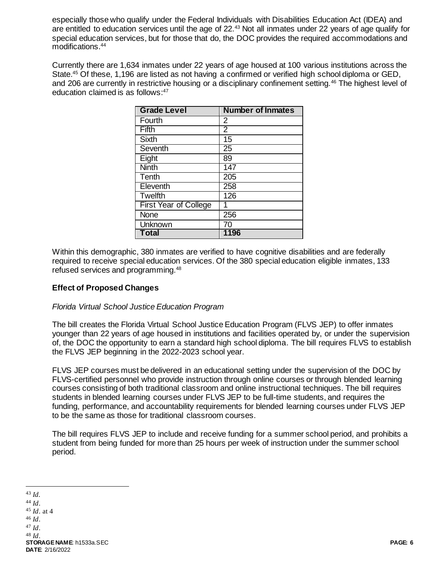especially those who qualify under the Federal Individuals with Disabilities Education Act (IDEA) and are entitled to education services until the age of 22.<sup>43</sup> Not all inmates under 22 years of age qualify for special education services, but for those that do, the DOC provides the required accommodations and modifications.<sup>44</sup>

Currently there are 1,634 inmates under 22 years of age housed at 100 various institutions across the State. <sup>45</sup> Of these, 1,196 are listed as not having a confirmed or verified high school diploma or GED, and 206 are currently in restrictive housing or a disciplinary confinement setting.<sup>46</sup> The highest level of education claimed is as follows: 47

| <b>Grade Level</b>    | <b>Number of Inmates</b> |
|-----------------------|--------------------------|
| Fourth                | 2                        |
| Fifth                 | $\overline{2}$           |
| <b>Sixth</b>          | 15                       |
| Seventh               | $\overline{25}$          |
| Eight                 | 89                       |
| <b>Ninth</b>          | 147                      |
| Tenth                 | 205                      |
| Eleventh              | 258                      |
| <b>Twelfth</b>        | 126                      |
| First Year of College | 1                        |
| None                  | 256                      |
| Unknown               | 70                       |
| <b>Total</b>          | 1196                     |

Within this demographic, 380 inmates are verified to have cognitive disabilities and are federally required to receive special education services. Of the 380 special education eligible inmates, 133 refused services and programming.<sup>48</sup>

## **Effect of Proposed Changes**

### *Florida Virtual School Justice Education Program*

The bill creates the Florida Virtual School Justice Education Program (FLVS JEP) to offer inmates younger than 22 years of age housed in institutions and facilities operated by, or under the supervision of, the DOC the opportunity to earn a standard high school diploma. The bill requires FLVS to establish the FLVS JEP beginning in the 2022-2023 school year.

FLVS JEP courses must be delivered in an educational setting under the supervision of the DOC by FLVS-certified personnel who provide instruction through online courses or through blended learning courses consisting of both traditional classroom and online instructional techniques. The bill requires students in blended learning courses under FLVS JEP to be full-time students, and requires the funding, performance, and accountability requirements for blended learning courses under FLVS JEP to be the same as those for traditional classroom courses.

The bill requires FLVS JEP to include and receive funding for a summer school period, and prohibits a student from being funded for more than 25 hours per week of instruction under the summer school period.

j

**STORAGE NAME**: h1533a.SEC **PAGE: 6 DATE**: 2/16/2022 <sup>43</sup> *Id.* <sup>44</sup> *Id*. <sup>45</sup> *Id*. at 4 <sup>46</sup> *Id*. <sup>47</sup> *Id*. <sup>48</sup> *Id*.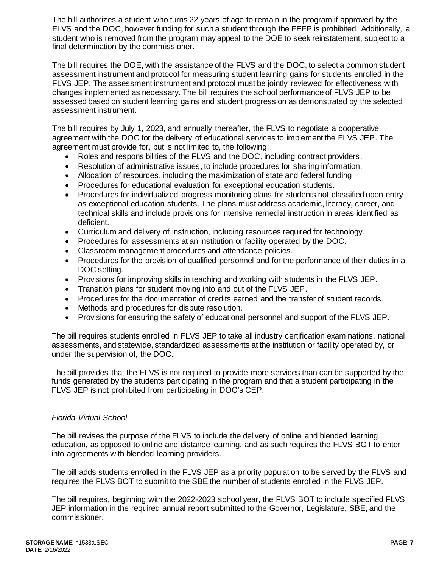The bill authorizes a student who turns 22 years of age to remain in the program if approved by the FLVS and the DOC, however funding for such a student through the FEFP is prohibited. Additionally, a student who is removed from the program may appeal to the DOE to seek reinstatement, subject to a final determination by the commissioner.

The bill requires the DOE, with the assistance of the FLVS and the DOC, to select a common student assessment instrument and protocol for measuring student learning gains for students enrolled in the FLVS JEP. The assessment instrument and protocol must be jointly reviewed for effectiveness with changes implemented as necessary. The bill requires the school performance of FLVS JEP to be assessed based on student learning gains and student progression as demonstrated by the selected assessment instrument.

The bill requires by July 1, 2023, and annually thereafter, the FLVS to negotiate a cooperative agreement with the DOC for the delivery of educational services to implement the FLVS JEP. The agreement must provide for, but is not limited to, the following:

- Roles and responsibilities of the FLVS and the DOC, including contract providers.
- Resolution of administrative issues, to include procedures for sharing information.
- Allocation of resources, including the maximization of state and federal funding.
- Procedures for educational evaluation for exceptional education students.
- Procedures for individualized progress monitoring plans for students not classified upon entry as exceptional education students. The plans must address academic, literacy, career, and technical skills and include provisions for intensive remedial instruction in areas identified as deficient.
- Curriculum and delivery of instruction, including resources required for technology.
- Procedures for assessments at an institution or facility operated by the DOC.
- Classroom management procedures and attendance policies.
- Procedures for the provision of qualified personnel and for the performance of their duties in a DOC setting.
- Provisions for improving skills in teaching and working with students in the FLVS JEP.
- Transition plans for student moving into and out of the FLVS JEP.
- Procedures for the documentation of credits earned and the transfer of student records.
- Methods and procedures for dispute resolution.
- Provisions for ensuring the safety of educational personnel and support of the FLVS JEP.

The bill requires students enrolled in FLVS JEP to take all industry certification examinations, national assessments, and statewide, standardized assessments at the institution or facility operated by, or under the supervision of, the DOC.

The bill provides that the FLVS is not required to provide more services than can be supported by the funds generated by the students participating in the program and that a student participating in the FLVS JEP is not prohibited from participating in DOC's CEP.

#### *Florida Virtual School*

The bill revises the purpose of the FLVS to include the delivery of online and blended learning education, as opposed to online and distance learning, and as such requires the FLVS BOT to enter into agreements with blended learning providers.

The bill adds students enrolled in the FLVS JEP as a priority population to be served by the FLVS and requires the FLVS BOT to submit to the SBE the number of students enrolled in the FLVS JEP.

The bill requires, beginning with the 2022-2023 school year, the FLVS BOT to include specified FLVS JEP information in the required annual report submitted to the Governor, Legislature, SBE, and the commissioner.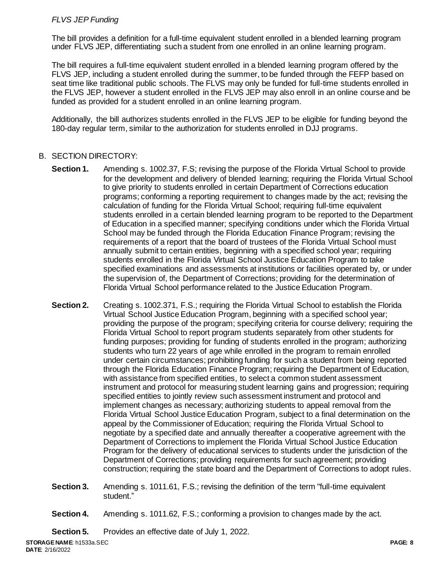# *FLVS JEP Funding*

The bill provides a definition for a full-time equivalent student enrolled in a blended learning program under FLVS JEP, differentiating such a student from one enrolled in an online learning program.

The bill requires a full-time equivalent student enrolled in a blended learning program offered by the FLVS JEP, including a student enrolled during the summer, to be funded through the FEFP based on seat time like traditional public schools. The FLVS may only be funded for full-time students enrolled in the FLVS JEP, however a student enrolled in the FLVS JEP may also enroll in an online course and be funded as provided for a student enrolled in an online learning program.

Additionally, the bill authorizes students enrolled in the FLVS JEP to be eligible for funding beyond the 180-day regular term, similar to the authorization for students enrolled in DJJ programs.

# B. SECTION DIRECTORY:

- **Section 1.** Amending s. 1002.37, F.S; revising the purpose of the Florida Virtual School to provide for the development and delivery of blended learning; requiring the Florida Virtual School to give priority to students enrolled in certain Department of Corrections education programs; conforming a reporting requirement to changes made by the act; revising the calculation of funding for the Florida Virtual School; requiring full-time equivalent students enrolled in a certain blended learning program to be reported to the Department of Education in a specified manner; specifying conditions under which the Florida Virtual School may be funded through the Florida Education Finance Program; revising the requirements of a report that the board of trustees of the Florida Virtual School must annually submit to certain entities, beginning with a specified school year; requiring students enrolled in the Florida Virtual School Justice Education Program to take specified examinations and assessments at institutions or facilities operated by, or under the supervision of, the Department of Corrections; providing for the determination of Florida Virtual School performance related to the Justice Education Program.
- **Section 2.** Creating s. 1002.371, F.S.; requiring the Florida Virtual School to establish the Florida Virtual School Justice Education Program, beginning with a specified school year; providing the purpose of the program; specifying criteria for course delivery; requiring the Florida Virtual School to report program students separately from other students for funding purposes; providing for funding of students enrolled in the program; authorizing students who turn 22 years of age while enrolled in the program to remain enrolled under certain circumstances; prohibiting funding for such a student from being reported through the Florida Education Finance Program; requiring the Department of Education, with assistance from specified entities, to select a common student assessment instrument and protocol for measuring student learning gains and progression; requiring specified entities to jointly review such assessment instrument and protocol and implement changes as necessary; authorizing students to appeal removal from the Florida Virtual School Justice Education Program, subject to a final determination on the appeal by the Commissioner of Education; requiring the Florida Virtual School to negotiate by a specified date and annually thereafter a cooperative agreement with the Department of Corrections to implement the Florida Virtual School Justice Education Program for the delivery of educational services to students under the jurisdiction of the Department of Corrections; providing requirements for such agreement; providing construction; requiring the state board and the Department of Corrections to adopt rules.
- **Section 3.** Amending s. 1011.61, F.S.; revising the definition of the term "full-time equivalent student."
- **Section 4.** Amending s. 1011.62, F.S.; conforming a provision to changes made by the act.

**Section 5.** Provides an effective date of July 1, 2022.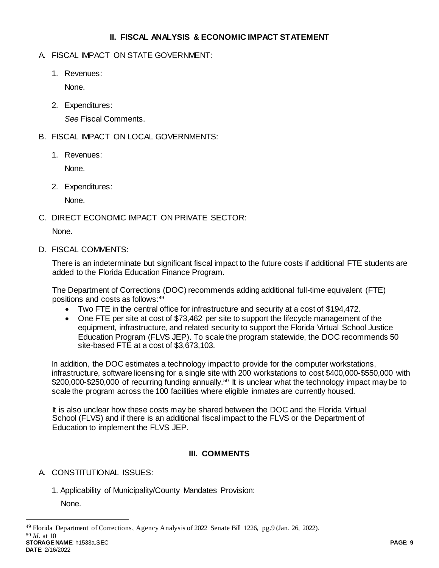## **II. FISCAL ANALYSIS & ECONOMIC IMPACT STATEMENT**

- A. FISCAL IMPACT ON STATE GOVERNMENT:
	- 1. Revenues:

None.

2. Expenditures:

*See* Fiscal Comments.

- B. FISCAL IMPACT ON LOCAL GOVERNMENTS:
	- 1. Revenues:

None.

2. Expenditures:

None.

C. DIRECT ECONOMIC IMPACT ON PRIVATE SECTOR:

None.

D. FISCAL COMMENTS:

There is an indeterminate but significant fiscal impact to the future costs if additional FTE students are added to the Florida Education Finance Program.

The Department of Corrections (DOC) recommends adding additional full-time equivalent (FTE) positions and costs as follows:<sup>49</sup>

- Two FTE in the central office for infrastructure and security at a cost of \$194,472.
- One FTE per site at cost of \$73,462 per site to support the lifecycle management of the equipment, infrastructure, and related security to support the Florida Virtual School Justice Education Program (FLVS JEP). To scale the program statewide, the DOC recommends 50 site-based FTE at a cost of \$3,673,103.

In addition, the DOC estimates a technology impact to provide for the computer workstations, infrastructure, software licensing for a single site with 200 workstations to cost \$400,000-\$550,000 with \$200,000-\$250,000 of recurring funding annually.<sup>50</sup> It is unclear what the technology impact may be to scale the program across the 100 facilities where eligible inmates are currently housed.

It is also unclear how these costs may be shared between the DOC and the Florida Virtual School (FLVS) and if there is an additional fiscal impact to the FLVS or the Department of Education to implement the FLVS JEP.

# **III. COMMENTS**

# A. CONSTITUTIONAL ISSUES:

1. Applicability of Municipality/County Mandates Provision:

None.

**STORAGE NAME**: h1533a.SEC **PAGE: 9**

 $\overline{a}$ 

<sup>49</sup> Florida Department of Corrections, Agency Analysis of 2022 Senate Bill 1226, pg.9 (Jan. 26, 2022). <sup>50</sup> *Id.* at 10